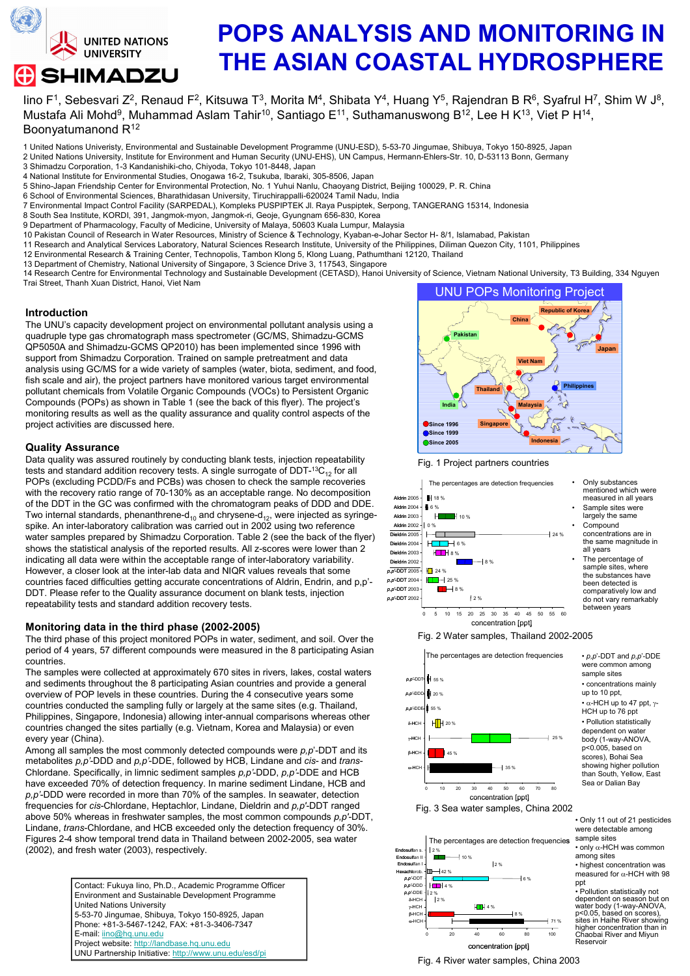

# POPS ANALYSIS AND MONITORING IN THE ASIAN COASTAL HYDROSPHERE

lino F<sup>1</sup>, Sebesvari Z<sup>2</sup>, Renaud F<sup>2</sup>, Kitsuwa T<sup>3</sup>, Morita M<sup>4</sup>, Shibata Y<sup>4</sup>, Huang Y<sup>5</sup>, Rajendran B R<sup>6</sup>, Syafrul H<sup>7</sup>, Shim W J<sup>8</sup>, Mustafa Ali Mohd<sup>9</sup>, Muhammad Aslam Tahir<sup>10</sup>, Santiago E<sup>11</sup>, Suthamanuswong B<sup>12</sup>, Lee H K<sup>13</sup>, Viet P H<sup>14</sup>, Boonyatumanond R<sup>12</sup>

- 1 United Nations Univeristy, Environmental and Sustainable Development Programme (UNU-ESD), 5-53-70 Jingumae, Shibuya, Tokyo 150-8925, Japan
- 2 United Nations University, Institute for Environment and Human Security (UNU-EHS), UN Campus, Hermann-Ehlers-Str. 10, D-53113 Bonn, Germany
- 3 Shimadzu Corporation, 1-3 Kandanishiki-cho, Chiyoda, Tokyo 101-8448, Japan
- 4 National Institute for Environmental Studies, Onogawa 16-2, Tsukuba, Ibaraki, 305-8506, Japan
- 5 Shino-Japan Friendship Center for Environmental Protection, No. 1 Yuhui Nanlu, Chaoyang District, Beijing 100029, P. R. China
- 6 School of Environmental Sciences, Bharathidasan University, Tiruchirappalli-620024 Tamil Nadu, India
- 7 Environmental Impact Control Facility (SARPEDAL), Kompleks PUSPIPTEK Jl. Raya Puspiptek, Serpong, TANGERANG 15314, Indonesia
- 8 South Sea Institute, KORDI, 391, Jangmok-myon, Jangmok-ri, Geoje, Gyungnam 656-830, Korea
- 9 Department of Pharmacology, Faculty of Medicine, University of Malaya, 50603 Kuala Lumpur, Malaysia
- 10 Pakistan Council of Research in Water Resources, Ministry of Science & Technology, Kyaban-e-Johar Sector H- 8/1, Islamabad, Pakistan
- 11 Research and Analytical Services Laboratory, Natural Sciences Research Institute, University of the Philippines, Diliman Quezon City, 1101, Philippines
- 12 Environmental Research & Training Center, Technopolis, Tambon Klong 5, Klong Luang, Pathumthani 12120, Thailand
- 13 Department of Chemistry, National University of Singapore, 3 Science Drive 3, 117543, Singapore

14 Research Centre for Environmental Technology and Sustainable Development (CETASD), Hanoi University of Science, Vietnam National University, T3 Building, 334 Nguyen Trai Street, Thanh Xuan District, Hanoi, Viet Nam

#### Introduction

The UNU's capacity development project on environmental pollutant analysis using a quadruple type gas chromatograph mass spectrometer (GC/MS, Shimadzu-GCMS QP5050A and Shimadzu-GCMS QP2010) has been implemented since 1996 with support from Shimadzu Corporation. Trained on sample pretreatment and data analysis using GC/MS for a wide variety of samples (water, biota, sediment, and food, fish scale and air), the project partners have monitored various target environmental pollutant chemicals from Volatile Organic Compounds (VOCs) to Persistent Organic Compounds (POPs) as shown in Table 1 (see the back of this flyer). The project's monitoring results as well as the quality assurance and quality control aspects of the project activities are discussed here.

#### Quality Assurance

Data quality was assured routinely by conducting blank tests, injection repeatability tests and standard addition recovery tests. A single surrogate of  $DDT-13C_{12}$  for all POPs (excluding PCDD/Fs and PCBs) was chosen to check the sample recoveries with the recovery ratio range of 70-130% as an acceptable range. No decomposition of the DDT in the GC was confirmed with the chromatogram peaks of DDD and DDE. Two internal standards, phenanthrene-d<sub>10</sub> and chrysene-d<sub>12</sub>, were injected as syringespike. An inter-laboratory calibration was carried out in 2002 using two reference water samples prepared by Shimadzu Corporation. Table 2 (see the back of the flyer) shows the statistical analysis of the reported results. All z-scores were lower than 2 indicating all data were within the acceptable range of inter-laboratory variability. However, a closer look at the inter-lab data and NIQR values reveals that some countries faced difficulties getting accurate concentrations of Aldrin, Endrin, and p,p'- DDT. Please refer to the Quality assurance document on blank tests, injection repeatability tests and standard addition recovery tests.

#### Monitoring data in the third phase (2002-2005)

The third phase of this project monitored POPs in water, sediment, and soil. Over the period of 4 years, 57 different compounds were measured in the 8 participating Asian countries.

The samples were collected at approximately 670 sites in rivers, lakes, costal waters and sediments throughout the 8 participating Asian countries and provide a general overview of POP levels in these countries. During the 4 consecutive years some countries conducted the sampling fully or largely at the same sites (e.g. Thailand, Philippines, Singapore, Indonesia) allowing inter-annual comparisons whereas other countries changed the sites partially (e.g. Vietnam, Korea and Malaysia) or even every year (China).

Among all samples the most commonly detected compounds were  $p, p'$ -DDT and its metabolites  $p, p'$ -DDD and  $p, p'$ -DDE, followed by HCB, Lindane and cis- and trans-Chlordane. Specifically, in limnic sediment samples p,p'-DDD, p,p'-DDE and HCB have exceeded 70% of detection frequency. In marine sediment Lindane, HCB and p,p'-DDD were recorded in more than 70% of the samples. In seawater, detection frequencies for cis-Chlordane, Heptachlor, Lindane, Dieldrin and p,p'-DDT ranged above 50% whereas in freshwater samples, the most common compounds  $p, p'$ -DDT, Lindane, trans-Chlordane, and HCB exceeded only the detection frequency of 30%. Figures 2-4 show temporal trend data in Thailand between 2002-2005, sea water (2002), and fresh water (2003), respectively.

> Contact: Fukuya Iino, Ph.D., Academic Programme Officer Environment and Sustainable Development Programme United Nations University 5-53-70 Jingumae, Shibuya, Tokyo 150-8925, Japan Phone: +81-3-5467-1242, FAX: +81-3-3406-7347 E-mail: iino@hq.unu.edu Project website: http://landbase.hq.unu.edu UNU Partnership Initiative: http://www.unu.edu/esd/pi



Fig. 1 Project partners countries





The percentage of sample sites, where the substances have been detected is comparatively low and do not vary remarkably between years

 $\cdot$  p,p'-DDT and p,p'-DDE were common among sample sites • concentrations mainly up to 10 ppt,  $\cdot$  α-HCH up to 47 ppt, γ-HCH up to 76 ppt • Pollution statistically dependent on water body (1-way-ANOVA, p<0.005, based on scores), Bohai Sea showing higher pollution than South, Yellow, East Sea or Dalian Bay

Fig. 2 Water samples, Thailand 2002-2005





The percentages are detection frequencies 2 % m. 10 %  $12%$ m. 42 % {<br>H∎H 4 % 6 % ppt p,p'-DDE 2 %  $12%$  $H<sub>II</sub>$  4 % 8 % 71 % 0 20 40 60 80 100

• Only 11 out of 21 pesticides were detectable among sample sites

• only α-HCH was common among sites • highest concentration was measured for α-HCH with 98

• Pollution statistically not dependent on season but on water body (1-way-ANOVA,<br>p<0.05, based on scores),<br>sites in Haihe River showing<br>higher concentration than in<br>Chaobai River and Miyun **Reservoir** 

Fig. 4 River water samples, China 2003

α-HCH γ-HCH<br>β-HCH .<br>-<br>Ансн

p,p'-DDD **Hexachlorob.**<br>p,p'-DDT Endosulfan I Endosulfan II Endosulfan s.

concentration [ppt]